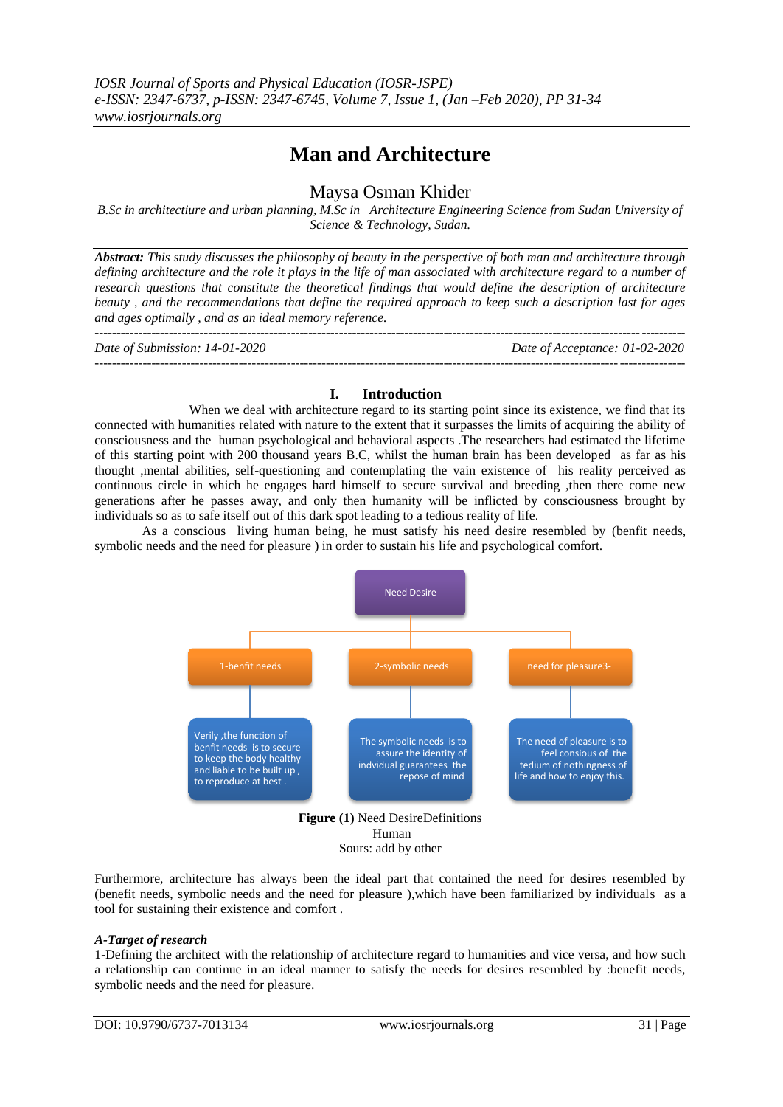# **Man and Architecture**

# Maysa Osman Khider

*B.Sc in architectiure and urban planning, M.Sc in Architecture Engineering Science from Sudan University of Science & Technology, Sudan.*

*Abstract: This study discusses the philosophy of beauty in the perspective of both man and architecture through defining architecture and the role it plays in the life of man associated with architecture regard to a number of research questions that constitute the theoretical findings that would define the description of architecture beauty , and the recommendations that define the required approach to keep such a description last for ages and ages optimally , and as an ideal memory reference.*

| Date of Submission: 14-01-2020 | Date of Acceptance: 01-02-2020 |
|--------------------------------|--------------------------------|
|                                |                                |

# **I. Introduction**

When we deal with architecture regard to its starting point since its existence, we find that its connected with humanities related with nature to the extent that it surpasses the limits of acquiring the ability of consciousness and the human psychological and behavioral aspects .The researchers had estimated the lifetime of this starting point with 200 thousand years B.C, whilst the human brain has been developed as far as his thought ,mental abilities, self-questioning and contemplating the vain existence of his reality perceived as continuous circle in which he engages hard himself to secure survival and breeding ,then there come new generations after he passes away, and only then humanity will be inflicted by consciousness brought by individuals so as to safe itself out of this dark spot leading to a tedious reality of life.

As a conscious living human being, he must satisfy his need desire resembled by (benfit needs, symbolic needs and the need for pleasure ) in order to sustain his life and psychological comfort.



Sours: add by other

Furthermore, architecture has always been the ideal part that contained the need for desires resembled by (benefit needs, symbolic needs and the need for pleasure ),which have been familiarized by individuals as a tool for sustaining their existence and comfort .

#### *A-Target of research*

1-Defining the architect with the relationship of architecture regard to humanities and vice versa, and how such a relationship can continue in an ideal manner to satisfy the needs for desires resembled by :benefit needs, symbolic needs and the need for pleasure.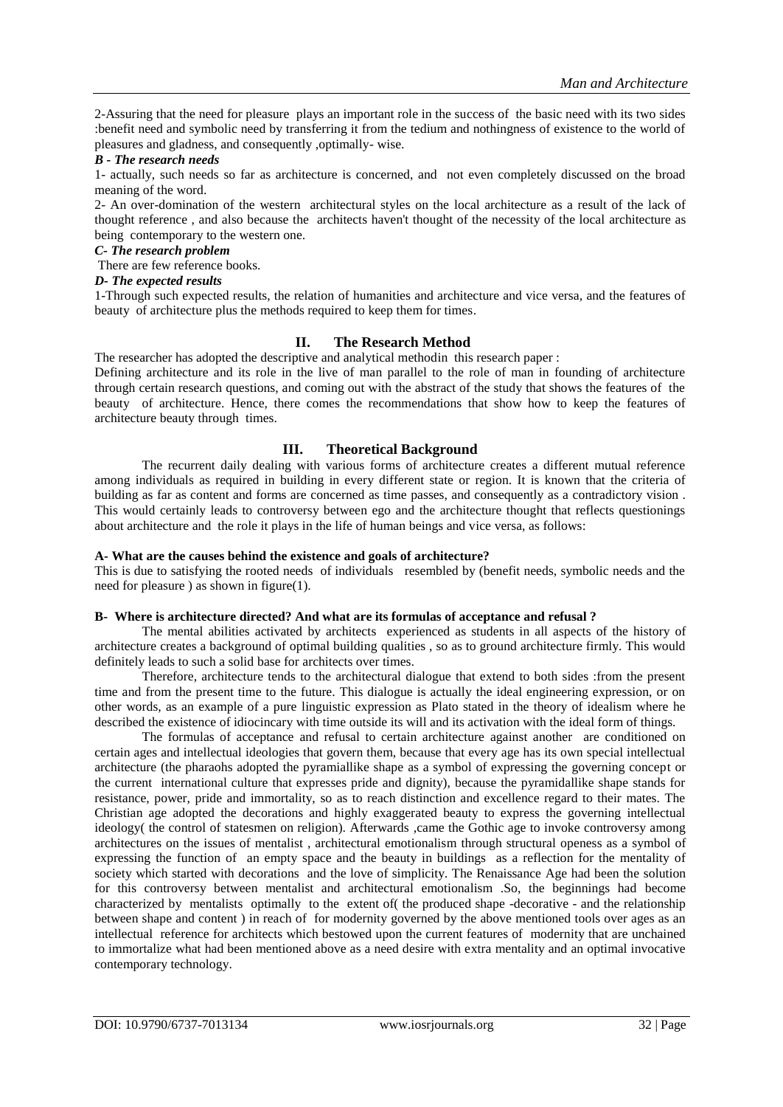2-Assuring that the need for pleasure plays an important role in the success of the basic need with its two sides :benefit need and symbolic need by transferring it from the tedium and nothingness of existence to the world of pleasures and gladness, and consequently ,optimally- wise.

#### *B - The research needs*

1- actually, such needs so far as architecture is concerned, and not even completely discussed on the broad meaning of the word.

2- An over-domination of the western architectural styles on the local architecture as a result of the lack of thought reference , and also because the architects haven't thought of the necessity of the local architecture as being contemporary to the western one.

#### *C- The research problem*

There are few reference books.

#### *D- The expected results*

1-Through such expected results, the relation of humanities and architecture and vice versa, and the features of beauty of architecture plus the methods required to keep them for times.

# **II. The Research Method**

The researcher has adopted the descriptive and analytical methodin this research paper :

Defining architecture and its role in the live of man parallel to the role of man in founding of architecture through certain research questions, and coming out with the abstract of the study that shows the features of the beauty of architecture. Hence, there comes the recommendations that show how to keep the features of architecture beauty through times.

# **III. Theoretical Background**

The recurrent daily dealing with various forms of architecture creates a different mutual reference among individuals as required in building in every different state or region. It is known that the criteria of building as far as content and forms are concerned as time passes, and consequently as a contradictory vision . This would certainly leads to controversy between ego and the architecture thought that reflects questionings about architecture and the role it plays in the life of human beings and vice versa, as follows:

#### **A- What are the causes behind the existence and goals of architecture?**

This is due to satisfying the rooted needs of individuals resembled by (benefit needs, symbolic needs and the need for pleasure ) as shown in figure(1).

#### **B- Where is architecture directed? And what are its formulas of acceptance and refusal ?**

The mental abilities activated by architects experienced as students in all aspects of the history of architecture creates a background of optimal building qualities , so as to ground architecture firmly. This would definitely leads to such a solid base for architects over times.

Therefore, architecture tends to the architectural dialogue that extend to both sides :from the present time and from the present time to the future. This dialogue is actually the ideal engineering expression, or on other words, as an example of a pure linguistic expression as Plato stated in the theory of idealism where he described the existence of idiocincary with time outside its will and its activation with the ideal form of things.

The formulas of acceptance and refusal to certain architecture against another are conditioned on certain ages and intellectual ideologies that govern them, because that every age has its own special intellectual architecture (the pharaohs adopted the pyramiallike shape as a symbol of expressing the governing concept or the current international culture that expresses pride and dignity), because the pyramidallike shape stands for resistance, power, pride and immortality, so as to reach distinction and excellence regard to their mates. The Christian age adopted the decorations and highly exaggerated beauty to express the governing intellectual ideology( the control of statesmen on religion). Afterwards ,came the Gothic age to invoke controversy among architectures on the issues of mentalist , architectural emotionalism through structural openess as a symbol of expressing the function of an empty space and the beauty in buildings as a reflection for the mentality of society which started with decorations and the love of simplicity. The Renaissance Age had been the solution for this controversy between mentalist and architectural emotionalism .So, the beginnings had become characterized by mentalists optimally to the extent of( the produced shape -decorative - and the relationship between shape and content ) in reach of for modernity governed by the above mentioned tools over ages as an intellectual reference for architects which bestowed upon the current features of modernity that are unchained to immortalize what had been mentioned above as a need desire with extra mentality and an optimal invocative contemporary technology.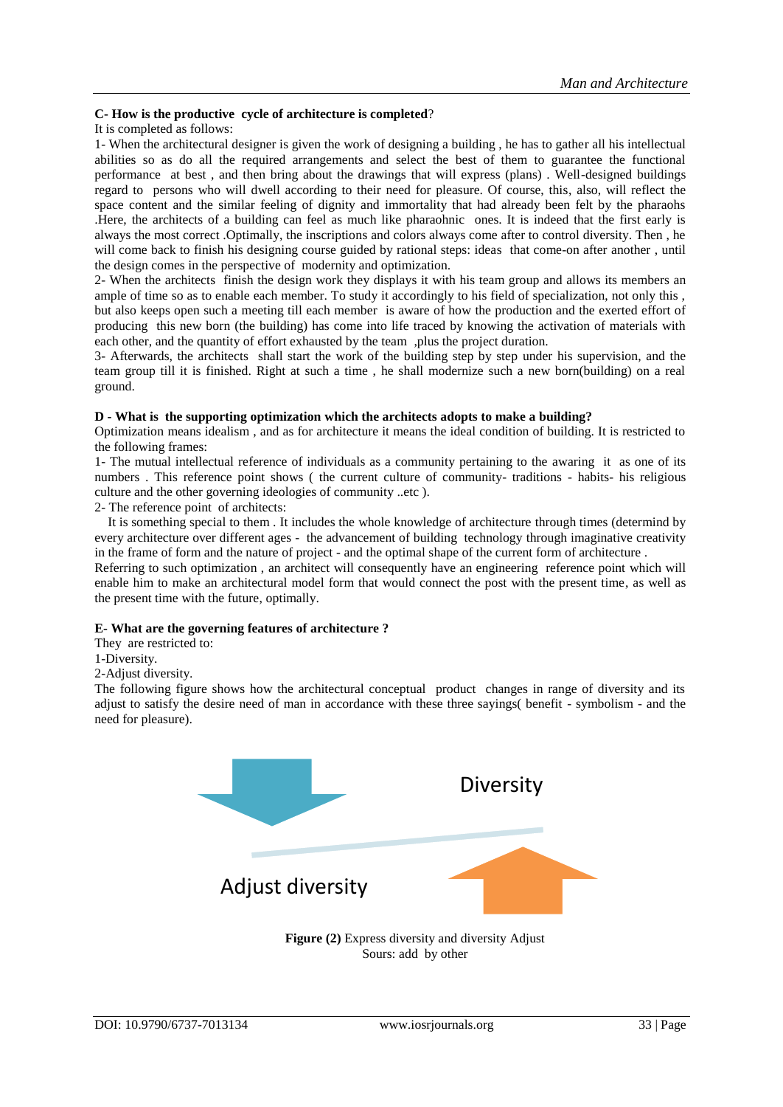#### **C- How is the productive cycle of architecture is completed**?

#### It is completed as follows:

1- When the architectural designer is given the work of designing a building , he has to gather all his intellectual abilities so as do all the required arrangements and select the best of them to guarantee the functional performance at best , and then bring about the drawings that will express (plans) . Well-designed buildings regard to persons who will dwell according to their need for pleasure. Of course, this, also, will reflect the space content and the similar feeling of dignity and immortality that had already been felt by the pharaohs .Here, the architects of a building can feel as much like pharaohnic ones. It is indeed that the first early is always the most correct .Optimally, the inscriptions and colors always come after to control diversity. Then , he will come back to finish his designing course guided by rational steps: ideas that come-on after another , until the design comes in the perspective of modernity and optimization.

2- When the architects finish the design work they displays it with his team group and allows its members an ample of time so as to enable each member. To study it accordingly to his field of specialization, not only this , but also keeps open such a meeting till each member is aware of how the production and the exerted effort of producing this new born (the building) has come into life traced by knowing the activation of materials with each other, and the quantity of effort exhausted by the team ,plus the project duration.

3- Afterwards, the architects shall start the work of the building step by step under his supervision, and the team group till it is finished. Right at such a time , he shall modernize such a new born(building) on a real ground.

#### **D - What is the supporting optimization which the architects adopts to make a building?**

Optimization means idealism , and as for architecture it means the ideal condition of building. It is restricted to the following frames:

1- The mutual intellectual reference of individuals as a community pertaining to the awaring it as one of its numbers . This reference point shows ( the current culture of community- traditions - habits- his religious culture and the other governing ideologies of community ..etc ).

2- The reference point of architects:

 It is something special to them . It includes the whole knowledge of architecture through times (determind by every architecture over different ages - the advancement of building technology through imaginative creativity in the frame of form and the nature of project - and the optimal shape of the current form of architecture .

Referring to such optimization , an architect will consequently have an engineering reference point which will enable him to make an architectural model form that would connect the post with the present time, as well as the present time with the future, optimally.

# **E- What are the governing features of architecture ?**

They are restricted to:

1-Diversity.

2-Adjust diversity.

The following figure shows how the architectural conceptual product changes in range of diversity and its adjust to satisfy the desire need of man in accordance with these three sayings( benefit - symbolism - and the need for pleasure).